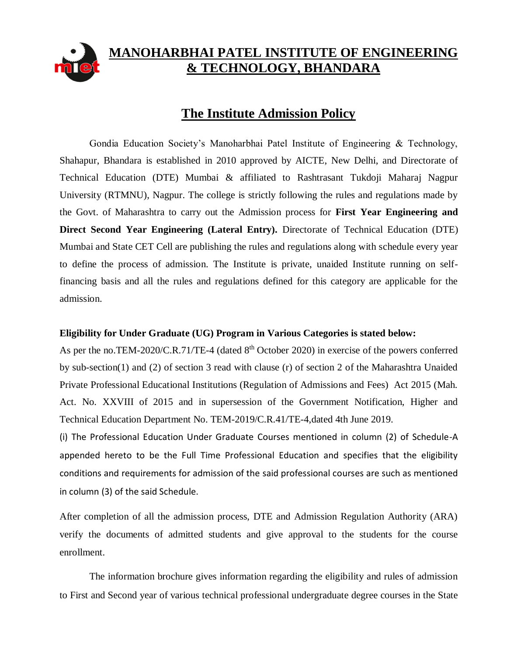

# **MANOHARBHAI PATEL INSTITUTE OF ENGINEERING & TECHNOLOGY, BHANDARA**

# **The Institute Admission Policy**

Gondia Education Society's Manoharbhai Patel Institute of Engineering & Technology, Shahapur, Bhandara is established in 2010 approved by AICTE, New Delhi, and Directorate of Technical Education (DTE) Mumbai & affiliated to Rashtrasant Tukdoji Maharaj Nagpur University (RTMNU), Nagpur. The college is strictly following the rules and regulations made by the Govt. of Maharashtra to carry out the Admission process for **First Year Engineering and Direct Second Year Engineering (Lateral Entry).** Directorate of Technical Education (DTE) Mumbai and State CET Cell are publishing the rules and regulations along with schedule every year to define the process of admission. The Institute is private, unaided Institute running on selffinancing basis and all the rules and regulations defined for this category are applicable for the admission.

### **Eligibility for Under Graduate (UG) Program in Various Categories is stated below:**

As per the no.TEM-2020/C.R.71/TE-4 (dated 8<sup>th</sup> October 2020) in exercise of the powers conferred by sub-section(1) and (2) of section 3 read with clause (r) of section 2 of the Maharashtra Unaided Private Professional Educational Institutions (Regulation of Admissions and Fees) Act 2015 (Mah. Act. No. XXVIII of 2015 and in supersession of the Government Notification, Higher and Technical Education Department No. TEM-2019/C.R.41/TE-4,dated 4th June 2019.

(i) The Professional Education Under Graduate Courses mentioned in column (2) of Schedule-A appended hereto to be the Full Time Professional Education and specifies that the eligibility conditions and requirements for admission of the said professional courses are such as mentioned in column (3) of the said Schedule.

After completion of all the admission process, DTE and Admission Regulation Authority (ARA) verify the documents of admitted students and give approval to the students for the course enrollment.

The information brochure gives information regarding the eligibility and rules of admission to First and Second year of various technical professional undergraduate degree courses in the State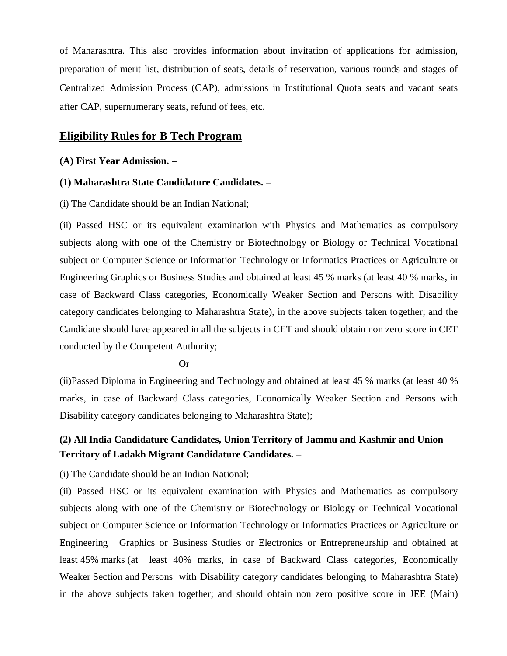of Maharashtra. This also provides information about invitation of applications for admission, preparation of merit list, distribution of seats, details of reservation, various rounds and stages of Centralized Admission Process (CAP), admissions in Institutional Quota seats and vacant seats after CAP, supernumerary seats, refund of fees, etc.

### **Eligibility Rules for B Tech Program**

#### **(A) First Year Admission. –**

#### **(1) Maharashtra State Candidature Candidates. –**

(i) The Candidate should be an Indian National;

(ii) Passed HSC or its equivalent examination with Physics and Mathematics as compulsory subjects along with one of the Chemistry or Biotechnology or Biology or Technical Vocational subject or Computer Science or Information Technology or Informatics Practices or Agriculture or Engineering Graphics or Business Studies and obtained at least 45 % marks (at least 40 % marks, in case of Backward Class categories, Economically Weaker Section and Persons with Disability category candidates belonging to Maharashtra State), in the above subjects taken together; and the Candidate should have appeared in all the subjects in CET and should obtain non zero score in CET conducted by the Competent Authority;

#### Or

(ii)Passed Diploma in Engineering and Technology and obtained at least 45 % marks (at least 40 % marks, in case of Backward Class categories, Economically Weaker Section and Persons with Disability category candidates belonging to Maharashtra State);

## **(2) All India Candidature Candidates, Union Territory of Jammu and Kashmir and Union Territory of Ladakh Migrant Candidature Candidates. –**

(i) The Candidate should be an Indian National;

(ii) Passed HSC or its equivalent examination with Physics and Mathematics as compulsory subjects along with one of the Chemistry or Biotechnology or Biology or Technical Vocational subject or Computer Science or Information Technology or Informatics Practices or Agriculture or Engineering Graphics or Business Studies or Electronics or Entrepreneurship and obtained at least 45% marks (at least 40% marks, in case of Backward Class categories, Economically Weaker Section and Persons with Disability category candidates belonging to Maharashtra State) in the above subjects taken together; and should obtain non zero positive score in JEE (Main)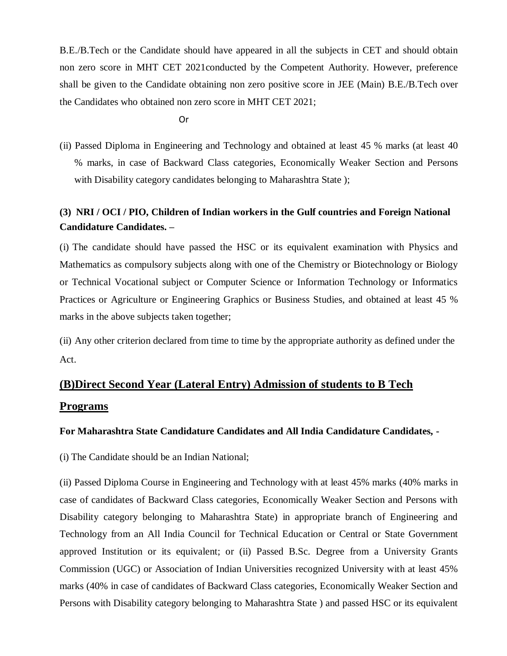B.E./B.Tech or the Candidate should have appeared in all the subjects in CET and should obtain non zero score in MHT CET 2021conducted by the Competent Authority. However, preference shall be given to the Candidate obtaining non zero positive score in JEE (Main) B.E./B.Tech over the Candidates who obtained non zero score in MHT CET 2021;

Or

(ii) Passed Diploma in Engineering and Technology and obtained at least 45 % marks (at least 40 % marks, in case of Backward Class categories, Economically Weaker Section and Persons with Disability category candidates belonging to Maharashtra State );

# **(3) NRI / OCI / PIO, Children of Indian workers in the Gulf countries and Foreign National Candidature Candidates. –**

(i) The candidate should have passed the HSC or its equivalent examination with Physics and Mathematics as compulsory subjects along with one of the Chemistry or Biotechnology or Biology or Technical Vocational subject or Computer Science or Information Technology or Informatics Practices or Agriculture or Engineering Graphics or Business Studies, and obtained at least 45 % marks in the above subjects taken together;

(ii) Any other criterion declared from time to time by the appropriate authority as defined under the Act.

# **(B)Direct Second Year (Lateral Entry) Admission of students to B Tech Programs**

### **For Maharashtra State Candidature Candidates and All India Candidature Candidates, -**

(i) The Candidate should be an Indian National;

(ii) Passed Diploma Course in Engineering and Technology with at least 45% marks (40% marks in case of candidates of Backward Class categories, Economically Weaker Section and Persons with Disability category belonging to Maharashtra State) in appropriate branch of Engineering and Technology from an All India Council for Technical Education or Central or State Government approved Institution or its equivalent; or (ii) Passed B.Sc. Degree from a University Grants Commission (UGC) or Association of Indian Universities recognized University with at least 45% marks (40% in case of candidates of Backward Class categories, Economically Weaker Section and Persons with Disability category belonging to Maharashtra State ) and passed HSC or its equivalent